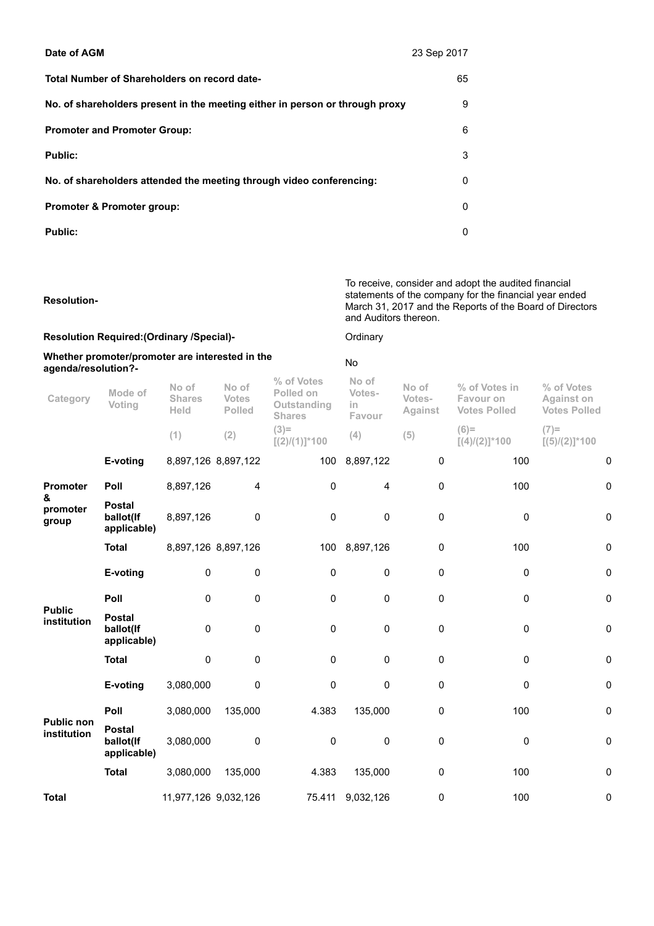| Date of AGM                                                                  | 23 Sep 2017 |
|------------------------------------------------------------------------------|-------------|
| Total Number of Shareholders on record date-                                 | 65          |
| No. of shareholders present in the meeting either in person or through proxy | 9           |
| <b>Promoter and Promoter Group:</b>                                          | 6           |
| <b>Public:</b>                                                               | 3           |
| No. of shareholders attended the meeting through video conferencing:         | 0           |
| <b>Promoter &amp; Promoter group:</b>                                        | $\Omega$    |
| <b>Public:</b>                                                               | O           |

Resolution-To receive, consider and adopt the audited financial statements of the company for the financial year ended March 31, 2017 and the Reports of the Board of Directors and Auditors thereon. Resolution Required: (Ordinary /Special)- Communication Company Whether promoter/promoter are interested in the whether promoter/promoter are interested in the<br>agenda/resolution?-Category Mode of Voting No of Shares Held No of Votes Polled % of Votes Polled on **Outstanding** Shares No of Votesin Favour No of Votes-Against % of Votes in Favour on Votes Polled % of Votes Against on Votes Polled

|                                    |                                           |                      |                     | u i i gu eo                | 1 avval   |           |                            |                            |
|------------------------------------|-------------------------------------------|----------------------|---------------------|----------------------------|-----------|-----------|----------------------------|----------------------------|
|                                    |                                           | (1)                  | (2)                 | $(3)=$<br>$[(2)/(1)]$ *100 | (4)       | (5)       | $(6)=$<br>$[(4)/(2)]$ *100 | $(7)=$<br>$[(5)/(2)]$ *100 |
|                                    | E-voting                                  |                      | 8,897,126 8,897,122 | 100                        | 8,897,122 | $\pmb{0}$ | 100                        | 0                          |
| Promoter<br>&<br>promoter<br>group | Poll                                      | 8,897,126            | 4                   | 0                          | 4         | $\pmb{0}$ | 100                        | $\pmb{0}$                  |
|                                    | <b>Postal</b><br>ballot(If<br>applicable) | 8,897,126            | 0                   | 0                          | 0         | $\pmb{0}$ | 0                          | $\pmb{0}$                  |
|                                    | <b>Total</b>                              | 8,897,126 8,897,126  |                     | 100                        | 8,897,126 | 0         | 100                        | 0                          |
|                                    | E-voting                                  | 0                    | 0                   | 0                          | 0         | 0         | 0                          | $\pmb{0}$                  |
| <b>Public</b>                      | Poll                                      | $\mathbf 0$          | 0                   | 0                          | 0         | 0         | $\pmb{0}$                  | $\pmb{0}$                  |
| institution                        | <b>Postal</b><br>ballot(If<br>applicable) | $\mathbf 0$          | $\pmb{0}$           | 0                          | 0         | $\pmb{0}$ | $\pmb{0}$                  | $\pmb{0}$                  |
|                                    | <b>Total</b>                              | $\mathbf 0$          | $\pmb{0}$           | 0                          | 0         | $\pmb{0}$ | $\mathbf 0$                | $\pmb{0}$                  |
|                                    | E-voting                                  | 3,080,000            | $\pmb{0}$           | 0                          | 0         | $\pmb{0}$ | $\mathbf 0$                | $\pmb{0}$                  |
| <b>Public non</b><br>institution   | Poll                                      | 3,080,000            | 135,000             | 4.383                      | 135,000   | 0         | 100                        | $\pmb{0}$                  |
|                                    | <b>Postal</b><br>ballot(If<br>applicable) | 3,080,000            | $\pmb{0}$           | 0                          | 0         | $\pmb{0}$ | $\mathbf 0$                | $\pmb{0}$                  |
|                                    | <b>Total</b>                              | 3,080,000            | 135,000             | 4.383                      | 135,000   | $\pmb{0}$ | 100                        | $\pmb{0}$                  |
| <b>Total</b>                       |                                           | 11,977,126 9,032,126 |                     | 75.411                     | 9,032,126 | 0         | 100                        | $\pmb{0}$                  |
|                                    |                                           |                      |                     |                            |           |           |                            |                            |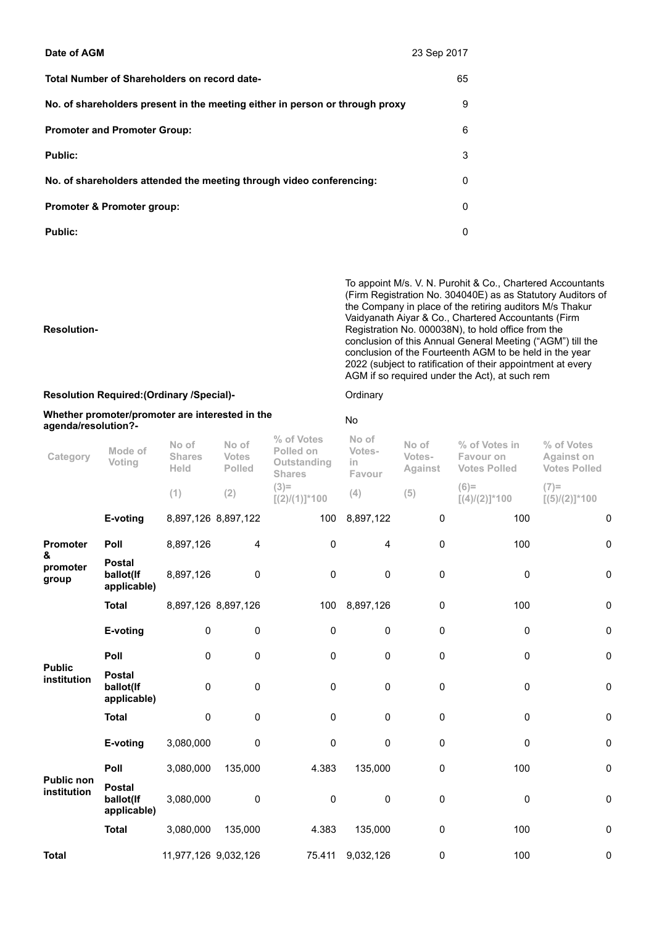| Date of AGM                                                                  | 23 Sep 2017 |
|------------------------------------------------------------------------------|-------------|
| Total Number of Shareholders on record date-                                 | 65          |
| No. of shareholders present in the meeting either in person or through proxy | 9           |
| <b>Promoter and Promoter Group:</b>                                          | 6           |
| <b>Public:</b>                                                               | 3           |
| No. of shareholders attended the meeting through video conferencing:         | 0           |
| <b>Promoter &amp; Promoter group:</b>                                        | $\Omega$    |
| Public:                                                                      | 0           |

To appoint M/s. V. N. Purohit & Co., Chartered Accountants (Firm Registration No. 304040E) as as Statutory Auditors of the Company in place of the retiring auditors M/s Thakur Vaidyanath Aiyar & Co., Chartered Accountants (Firm Registration No. 000038N), to hold office from the conclusion of this Annual General Meeting ("AGM") till the conclusion of the Fourteenth AGM to be held in the year 2022 (subject to ratification of their appointment at every AGM if so required under the Act), at such rem

## Resolution-

## Resolution Required:(Ordinary /Special)- Crimary Ordinary

## Whether promoter/promoter are interested in the agenda/resolution?- No

| agenda/resolution?-              |                                           |                                |                                        |                                                         |                                  |                            |                                                   |                                                        |
|----------------------------------|-------------------------------------------|--------------------------------|----------------------------------------|---------------------------------------------------------|----------------------------------|----------------------------|---------------------------------------------------|--------------------------------------------------------|
| Category                         | Mode of<br>Voting                         | No of<br><b>Shares</b><br>Held | No of<br><b>Votes</b><br><b>Polled</b> | % of Votes<br>Polled on<br>Outstanding<br><b>Shares</b> | No of<br>Votes-<br>in.<br>Favour | No of<br>Votes-<br>Against | % of Votes in<br>Favour on<br><b>Votes Polled</b> | % of Votes<br><b>Against on</b><br><b>Votes Polled</b> |
|                                  |                                           | (1)                            | (2)                                    | $(3)$ =<br>$[(2)/(1)]$ *100                             | (4)                              | (5)                        | $(6)=$<br>$[(4)/(2)]$ *100                        | $(7)=$<br>$[(5)/(2)]$ *100                             |
|                                  | E-voting                                  | 8,897,126 8,897,122            |                                        | 100                                                     | 8,897,122                        | 0                          | 100                                               | 0                                                      |
| <b>Promoter</b>                  | Poll                                      | 8,897,126                      | 4                                      | 0                                                       | $\overline{4}$                   | 0                          | 100                                               | 0                                                      |
| &<br>promoter<br>group           | <b>Postal</b><br>ballot(If<br>applicable) | 8,897,126                      | 0                                      | 0                                                       | $\mathbf 0$                      | 0                          | $\mathbf 0$                                       | 0                                                      |
|                                  | <b>Total</b>                              | 8,897,126 8,897,126            |                                        | 100                                                     | 8,897,126                        | 0                          | 100                                               | $\pmb{0}$                                              |
|                                  | E-voting                                  | 0                              | 0                                      | 0                                                       | $\pmb{0}$                        | $\pmb{0}$                  | $\pmb{0}$                                         | $\mathbf 0$                                            |
| <b>Public</b><br>institution     | Poll                                      | 0                              | 0                                      | 0                                                       | 0                                | 0                          | $\mathbf 0$                                       | 0                                                      |
|                                  | <b>Postal</b><br>ballot(If<br>applicable) | 0                              | $\pmb{0}$                              | 0                                                       | $\mathbf 0$                      | 0                          | $\mathbf 0$                                       | 0                                                      |
|                                  | <b>Total</b>                              | 0                              | $\pmb{0}$                              | 0                                                       | $\pmb{0}$                        | $\pmb{0}$                  | $\mathbf 0$                                       | 0                                                      |
| <b>Public non</b><br>institution | E-voting                                  | 3,080,000                      | 0                                      | $\pmb{0}$                                               | $\pmb{0}$                        | $\pmb{0}$                  | 0                                                 | $\mathbf 0$                                            |
|                                  | Poll                                      | 3,080,000                      | 135,000                                | 4.383                                                   | 135,000                          | 0                          | 100                                               | 0                                                      |
|                                  | <b>Postal</b><br>ballot(If<br>applicable) | 3,080,000                      | 0                                      | 0                                                       | $\pmb{0}$                        | 0                          | 0                                                 | 0                                                      |
|                                  | <b>Total</b>                              | 3,080,000                      | 135,000                                | 4.383                                                   | 135,000                          | $\pmb{0}$                  | 100                                               | 0                                                      |
| <b>Total</b>                     |                                           | 11,977,126 9,032,126           |                                        | 75.411                                                  | 9,032,126                        | 0                          | 100                                               | 0                                                      |